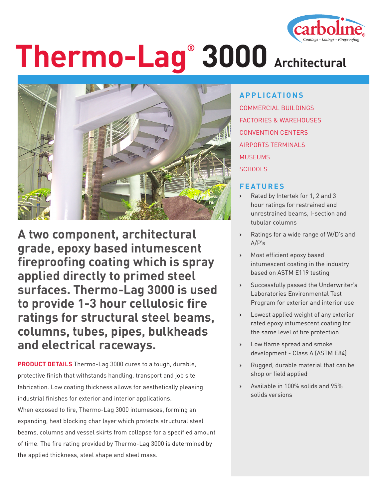

# **Thermo-Lag® 3000 Architectural**



**A two component, architectural grade, epoxy based intumescent fireproofing coating which is spray applied directly to primed steel surfaces. Thermo-Lag 3000 is used to provide 1-3 hour cellulosic fire ratings for structural steel beams, columns, tubes, pipes, bulkheads and electrical raceways.**

**PRODUCT DETAILS** Thermo-Lag 3000 cures to a tough, durable, protective finish that withstands handling, transport and job site fabrication. Low coating thickness allows for aesthetically pleasing industrial finishes for exterior and interior applications. When exposed to fire, Thermo-Lag 3000 intumesces, forming an expanding, heat blocking char layer which protects structural steel beams, columns and vessel skirts from collapse for a specified amount of time. The fire rating provided by Thermo-Lag 3000 is determined by the applied thickness, steel shape and steel mass.

### **APPLICATIONS**

COMMERCIAL BUILDINGS FACTORIES & WAREHOUSES CONVENTION CENTERS AIRPORTS TERMINALS MUSEUMS SCHOOLS

#### **FEATURES**

- **›** Rated by Intertek for 1, 2 and 3 hour ratings for restrained and unrestrained beams, I-section and tubular columns
- **›** Ratings for a wide range of W/D's and A/P's
- **›** Most efficient epoxy based intumescent coating in the industry based on ASTM E119 testing
- **›** Successfully passed the Underwriter's Laboratories Environmental Test Program for exterior and interior use
- **›** Lowest applied weight of any exterior rated epoxy intumescent coating for the same level of fire protection
- **›** Low flame spread and smoke development - Class A (ASTM E84)
- **›** Rugged, durable material that can be shop or field applied
- **›** Available in 100% solids and 95% solids versions